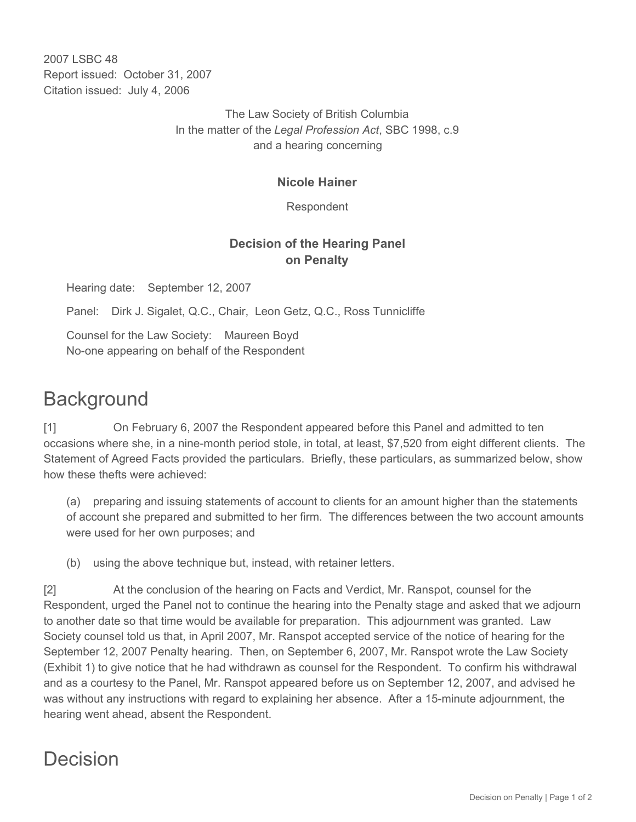2007 LSBC 48 Report issued: October 31, 2007 Citation issued: July 4, 2006

> The Law Society of British Columbia In the matter of the *Legal Profession Act*, SBC 1998, c.9 and a hearing concerning

#### **Nicole Hainer**

Respondent

### **Decision of the Hearing Panel on Penalty**

Hearing date: September 12, 2007

Panel: Dirk J. Sigalet, Q.C., Chair, Leon Getz, Q.C., Ross Tunnicliffe

Counsel for the Law Society: Maureen Boyd No-one appearing on behalf of the Respondent

# **Background**

[1] On February 6, 2007 the Respondent appeared before this Panel and admitted to ten occasions where she, in a nine-month period stole, in total, at least, \$7,520 from eight different clients. The Statement of Agreed Facts provided the particulars. Briefly, these particulars, as summarized below, show how these thefts were achieved:

(a) preparing and issuing statements of account to clients for an amount higher than the statements of account she prepared and submitted to her firm. The differences between the two account amounts were used for her own purposes; and

(b) using the above technique but, instead, with retainer letters.

[2] At the conclusion of the hearing on Facts and Verdict, Mr. Ranspot, counsel for the Respondent, urged the Panel not to continue the hearing into the Penalty stage and asked that we adjourn to another date so that time would be available for preparation. This adjournment was granted. Law Society counsel told us that, in April 2007, Mr. Ranspot accepted service of the notice of hearing for the September 12, 2007 Penalty hearing. Then, on September 6, 2007, Mr. Ranspot wrote the Law Society (Exhibit 1) to give notice that he had withdrawn as counsel for the Respondent. To confirm his withdrawal and as a courtesy to the Panel, Mr. Ranspot appeared before us on September 12, 2007, and advised he was without any instructions with regard to explaining her absence. After a 15-minute adjournment, the hearing went ahead, absent the Respondent.

## Decision